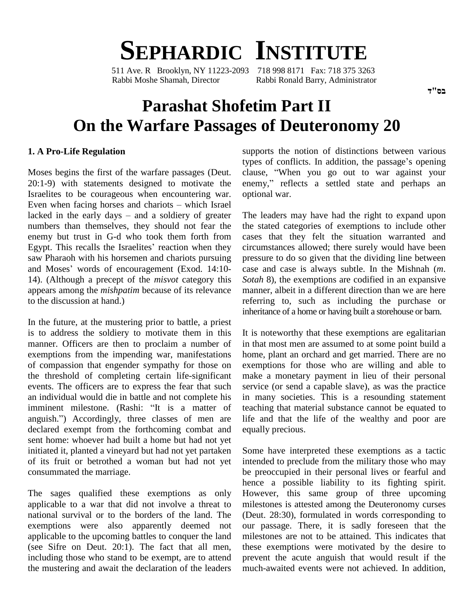# **SEPHARDIC INSTITUTE**

511 Ave. R Brooklyn, NY 11223-2093 718 998 8171 Fax: 718 375 3263 Rabbi Moshe Shamah, Director Rabbi Ronald Barry, Administrator

# **Parashat Shofetim Part II On the Warfare Passages of Deuteronomy 20**

#### **1. A Pro-Life Regulation**

Moses begins the first of the warfare passages (Deut. 20:1-9) with statements designed to motivate the enemy," reflects a settled state and perhaps an Israelites to be courageous when encountering war. 20:1-9) with statements designed to motivate the en<br>Israelites to be courageous when encountering war. op<br>Even when facing horses and chariots – which Israel Israelites to be courageous when encountering war. opt<br>Even when facing horses and chariots – which Israel<br>lacked in the early days – and a soldiery of greater The numbers than themselves, they should not fear the enemy but trust in G-d who took them forth from numbers than themselves, they should not fear the the statemeny but trust in G-d who took them forth from cases Egypt. This recalls the Israelites' reaction when they circum saw Pharaoh with his horsemen and chariots pursuing Egypt. This recalls the Israelites' reaction when they circleaw Pharaoh with his horsemen and chariots pursuing pre and Moses' words of encouragement (Exod. 14:10-14). (Although a precept of the *misvot* category this appears among the *mishpatim* because of its relevance to the discussion at hand.)

In the future, at the mustering prior to battle, a priest is to address the soldiery to motivate them in this manner. Officers are then to proclaim a number of exemptions from the impending war, manifestations of compassion that engender sympathy for those on the threshold of completing certain life-significant events. The officers are to express the fear that such an individual would die in battle and not complete his events. The officers are to express the fear that such<br>an individual would die in battle and not complete his<br>imminent milestone. (Rashi: "It is a matter of tea an individual would die in battle and not complete his in m<br>imminent milestone. (Rashi: "It is a matter of teach<br>anguish.") Accordingly, three classes of men are life declared exempt from the forthcoming combat and sent home: whoever had built a home but had not yet initiated it, planted a vineyard but had not yet partaken of its fruit or betrothed a woman but had not yet consummated the marriage.

The sages qualified these exemptions as only applicable to a war that did not involve a threat to national survival or to the borders of the land. The exemptions were also apparently deemed not applicable to the upcoming battles to conquer the land (see Sifre on Deut. 20:1). The fact that all men, including those who stand to be exempt, are to attend the mustering and await the declaration of the leaders supports the notion of distinctions between various types of conflicts. In addition, the passage's opening supports the notion of distinctions between various<br>types of conflicts. In addition, the passage's opening<br>clause, "When you go out to war against your types of conflicts. In addition, the passage's opening<br>clause, "When you go out to war against your<br>enemy," reflects a settled state and perhaps an optional war.

The leaders may have had the right to expand upon the stated categories of exemptions to include other cases that they felt the situation warranted and circumstances allowed; there surely would have been pressure to do so given that the dividing line between case and case is always subtle. In the Mishnah (*m*. *Sotah* 8), the exemptions are codified in an expansive manner, albeit in a different direction than we are here referring to, such as including the purchase or inheritance of a home or having built a storehouse or barn.

It is noteworthy that these exemptions are egalitarian in that most men are assumed to at some point build a home, plant an orchard and get married. There are no exemptions for those who are willing and able to make a monetary payment in lieu of their personal service (or send a capable slave), as was the practice in many societies. This is a resounding statement teaching that material substance cannot be equated to life and that the life of the wealthy and poor are equally precious.

Some have interpreted these exemptions as a tactic intended to preclude from the military those who may be preoccupied in their personal lives or fearful and hence a possible liability to its fighting spirit. However, this same group of three upcoming milestones is attested among the Deuteronomy curses (Deut. 28:30), formulated in words corresponding to our passage. There, it is sadly foreseen that the milestones are not to be attained. This indicates that these exemptions were motivated by the desire to prevent the acute anguish that would result if the much-awaited events were not achieved. In addition,

בם"ד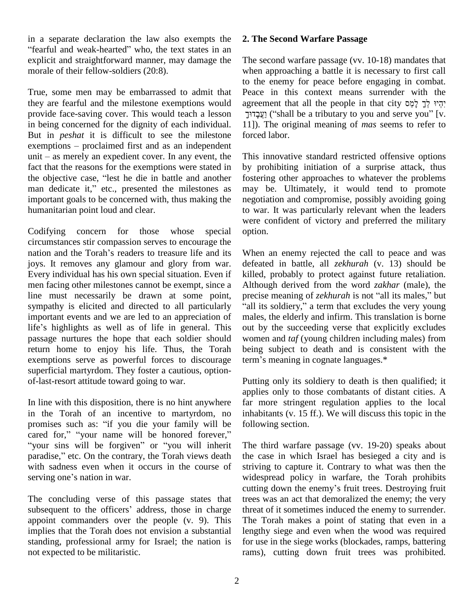in a separate declaration the law also exempts the "fearful and weak-hearted" who, the text states in an explicit and straightforward manner, may damage the morale of their fellow-soldiers (20:8).

True, some men may be embarrassed to admit that they are fearful and the milestone exemptions would provide face-saving cover. This would teach a lesson in being concerned for the dignity of each individual. But in *peshat* it is difficult to see the milestone in being concerned for the dignity of each individual. 11<br>But in *peshat* it is difficult to see the milestone for<br>exemptions – proclaimed first and as an independent But in *peshat* it is difficult to see the milestone force exemptions – proclaimed first and as an independent unit – as merely an expedient cover. In any event, the This fact that the reasons for the exemptions were stated in unit  $-$  as merely an expedient cover. In any event, the fact that the reasons for the exemptions were stated in the objective case, "lest he die in battle and another man dedicate it," etc., presented the milestones as important goals to be concerned with, thus making the humanitarian point loud and clear.

Codifying concern for those whose special circumstances stir compassion serves to encourage the nation and the Torah's readers to treasure life and its joys. It removes any glamour and glory from war. Every individual has his own special situation. Even if men facing other milestones cannot be exempt, since a line must necessarily be drawn at some point, precise meaning of *zekhurah* is not "all its males," but sympathy is elicited and directed to all particularly important events and we are led to an appreciation of sympathy is elicited and directed to all particularly "all important events and we are led to an appreciation of make life's highlights as well as of life in general. This out passage nurtures the hope that each soldier should return home to enjoy his life. Thus, the Torah exemptions serve as powerful forces to discourage term's meaning in cognate languages.\* superficial martyrdom. They foster a cautious, option of-last-resort attitude toward going to war.

In line with this disposition, there is no hint anywhere in the Torah of an incentive to martyrdom, no In line with this disposition, there is no hint anywhere far r<br>in the Torah of an incentive to martyrdom, no inhab<br>promises such as: "if you die your family will be follow in the Torah of an incentive to martyrdom, no inhat promises such as: "if you die your family will be follow cared for," "your name will be honored forever," promises such as: "if you die your family will be for cared for," "your name will be honored forever," "your sins will be forgiven" or "you will inherit Tl cared for," "your name will be honored forever," "your sins will be forgiven" or "you will inherit with sadness even when it occurs in the course of paradise," etc. On the contrary, the Torah views death with sadness even when it occurs in the course of serving one's nation in war.

The concluding verse of this passage states that tre cutting<br>The concluding verse of this passage states that trees<br>subsequent to the officers' address, those in charge threa appoint commanders over the people (v. 9). This implies that the Torah does not envision a substantial standing, professional army for Israel; the nation is not expected to be militaristic.

#### **2. The Second Warfare Passage**

The second warfare passage (vv. 10-18) mandates that when approaching a battle it is necessary to first call to the enemy for peace before engaging in combat. Peace in this context means surrender with the to the enemy for peace before engaging in combat.<br>Peace in this context means surrender with the<br>קְרֶי לְךָ לְמֵס יָקִין לְךָ לְמֵס in that city in this context means surrender with the<br>
ent that all the people in that city יִהְיוּ לְךָ לְמֵס [v. "shall be a tributary to you and serve you" [v. 11]). The original meaning of*mas* seems to refer to forced labor.

This innovative standard restricted offensive options by prohibiting initiation of a surprise attack, thus fostering other approaches to whatever the problems may be. Ultimately, it would tend to promote negotiation and compromise, possibly avoiding going to war. It was particularly relevant when the leaders were confident of victory and preferred the military option.

When an enemy rejected the call to peace and was defeated in battle, all *zekhurah* (v. 13) should be killed, probably to protect against future retaliation.<br>Although derived from the word *zakhar* (male), the precise meaning of *zekhurah* is not "all its males," but Although derived from the word *zakhar* (male), the "all its soldiery," a term that excludes the very young males, the elderly and infirm. This translation is borne out by the succeeding verse that explicitly excludes women and *taf* (young children including males) from<br>being subject to death and is consistent with the<br>term's meaning in cognate languages.\* being subject to death and is consistent with the

Putting only its soldiery to death is then qualified; it applies only to those combatants of distant cities. A far more stringent regulation applies to the local inhabitants (v. 15 ff.). We will discuss this topic in the following section.

The third warfare passage (vv. 19-20) speaks about the case in which Israel has besieged a city and is striving to capture it. Contrary to what was then the widespread policy in warfare, the Torah prohibits cutting down the enemy's fruit trees. Destroying fruit widespread policy in warfare, the Torah prohibits trees was an act that demoralized the enemy; the very threat of it sometimes induced the enemy to surrender. The Torah makes a point of stating that even in a lengthy siege and even when the wood was required for use in the siege works (blockades, ramps, battering rams), cutting down fruit trees was prohibited.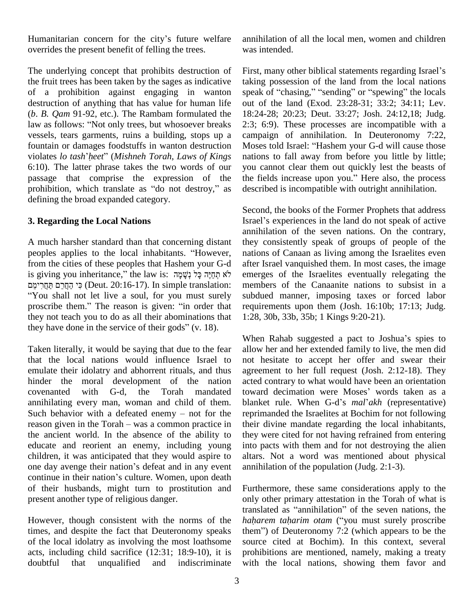Humanitarian concern for the city's future welfare overrides the present benefit of felling the trees.

The underlying concept that prohibits destruction of the fruit trees has been taken by the sages as indicative of a prohibition against engaging in wanton destruction of anything that has value for human life out of  $(b. B. Qam 91-92, etc.).$  The Rambam formulated the 18:24 law as follows: "Not only trees, but whosoever breaks 2:3; (*b*. *B. Qam* 91-92, etc.). The Rambam formulated the vessels, tears garments, ruins a building, stops up a violates *lo tash*í*heet*<sup>î</sup> (*Mishneh Torah*, *Laws of Kings* fountain or damages foodstuffs in wanton destruction Moses told Israel: "Hashem your G-d will cause those 6:10). The latter phrase takes the two words of our you<br>passage that comprise the expression of the the prohibition, which translate as "do not destroy," as desc passage that comprise the expression of the the fields increase upon you." Here also, the process defining the broad expanded category.

#### **3. Regarding the Local Nations**

A much harsher standard than that concerning distant peoples applies to the local inhabitants. "However, from the cities of these peoples that Hashem your G-d after I peoples applies to the local inhabitants. "However, natio from the cities of these peoples that Hashem your G-d after is giving you inheritance," the law is: אֲתֲחָיָה כָּל נְשָׁמָּה בִּל (נִשְׁמָּה ב from the cities of these peoples that Hashem your G-d<br>is giving you inheritance," the law is: לֹא תְחֵיֶּה כָּל נְשָׁמָה<br>Deut. 20:16-17). In simple translation: װ You shall not let live a soul, for you must surely פִי הַחֲרֵימֵם חַחֲרִימֵם (Deut. 20:16-17). In simple translation: metally order that in the reason is given: "in order that reason is given: "in order that they not teach you to do as all their abominations that proscribe them." The reason is given: "in order that they not teach you to do as all their abominations that they have done in the service of their gods" (v. 18).

Taken literally, it would be saying that due to the fear that the local nations would influence Israel to emulate their idolatry and abhorrent rituals, and thus hinder the moral development of the nation covenanted with G-d, the Torah mandated toward decimation were Moses' words taken as a annihilating every man, woman and child of them. covenanted with G-d, the Torah mandated towar<br>annihilating every man, woman and child of them. blank<br>Such behavior with a defeated enemy – not for the reprin annihilating every man, woman and child of them. blanket rule. When G-d's  $mal'akh$  (representative)<br>Such behavior with a defeated enemy – not for the reprimanded the Israelites at Bochim for not following<br>reason given in the the ancient world. In the absence of the ability to educate and reorient an enemy, including young children, it was anticipated that they would aspire to one day avenge their nation's defeat and in any event continue in their nation's culture. Women, upon death of their husbands, might turn to prostitution and present another type of religious danger.

However, though consistent with the norms of the times, and despite the fact that Deuteronomy speaks them" of Deuteronomy 7:2 (which appears to be the of the local idolatry as involving the most loathsome acts, including child sacrifice (12:31; 18:9-10), it is doubtful that unqualified and indiscriminate

annihilation of all the local men, women and children was intended.

First, many other biblical statements regarding Israel's taking possession of the land from the local nations speak of "chasing," "sending" or "spewing" the locals out of the land (Exod. 23:28-31; 33:2; 34:11; Lev. 18:24-28; 20:23; Deut. 33:27; Josh. 24:12,18; Judg. 2:3; 6:9). These processes are incompatible with a campaign of annihilation. In Deuteronomy 7:22, 2:3; 6:9). These processes are incompatible with a campaign of annihilation. In Deuteronomy 7:22, Moses told Israel: "Hashem your G-d will cause those nations to fall away from before you little by little;<br>you cannot clear them out quickly lest the beasts of<br>the fields increase upon you." Here also, the process you cannot clear them out quickly lest the beasts of described is incompatible with outright annihilation.

Second, the books of the Former Prophets that address Second, the books of the Former Prophets that address<br>Israel's experiences in the land do not speak of active annihilation of the seven nations. On the contrary, they consistently speak of groups of people of the nations of Canaan as living among the Israelites even after Israel vanquished them. In most cases, the image emerges of the Israelites eventually relegating the members of the Canaanite nations to subsist in a subdued manner, imposing taxes or forced labor requirements upon them (Josh. 16:10b; 17:13; Judg. 1:28, 30b, 33b, 35b; 1 Kings 9:20-21).

When Rahab suggested a pact to Joshua's spies to allow her and her extended family to live, the men did not hesitate to accept her offer and swear their agreement to her full request (Josh. 2:12-18). They<br>acted contrary to what would have been an orientation<br>toward decimation were Moses' words taken as a acted contrary to what would have been an orientation<br>toward decimation were Moses' words taken as a<br>blanket rule. When G-d's *mal'akh* (representative) reprimanded the Israelites at Bochim for not following their divine mandate regarding the local inhabitants, they were cited for not having refrained from entering into pacts with them and for not destroying the alien altars. Not a word was mentioned about physical annihilation of the population (Judg. 2:1-3).

Furthermore, these same considerations apply to the only other primary attestation in the Torah of what is translated as "annihilation" of the seven nations, the only other primary attestation in the Torah of what is only other primary attestation in the Torah of what is translated as "annihilation" of the seven nations, the *haharem taharim otam* ("you must surely proscribe translated as "annihilation" of the seven nations, the *haharem taharim otam* ("you must surely proscribe them") of Deuteronomy 7:2 (which appears to be the source cited at Bochim). In this context, several prohibitions are mentioned, namely, making a treaty with the local nations, showing them favor and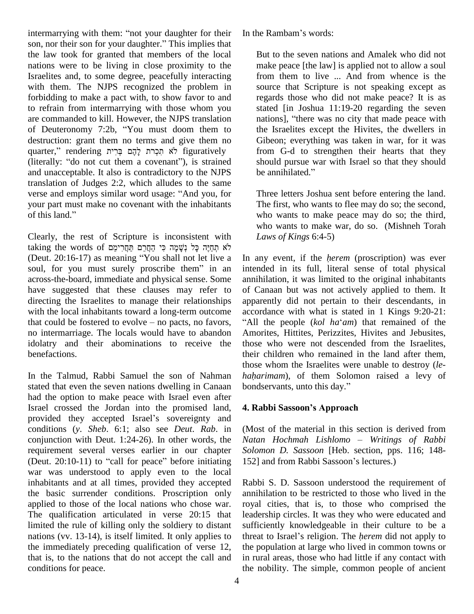intermarrying with them: "not your daughter for their son, nor their son for your daughter." This implies that the law took for granted that members of the local nations were to be living in close proximity to the Israelites and, to some degree, peacefully interacting with them. The NJPS recognized the problem in forbidding to make a pact with, to show favor to and to refrain from intermarrying with those whom you are commanded to kill. However, the NJPS translation has to refrain from intermarrying with those whom you<br>are commanded to kill. However, the NJPS translation antion<br>of Deuteronomy 7:2b, "You must doom them to the destruction: grant them no terms and give them no of Deuteronomy 7:2b, "You must doom them to quarter," rendering לֹא תִכְרַת לָהֶם בְּרִית (iterally: "do not cut them a covenant"), is strained<br>and unaccentable. It also is contradictory to the NJPS be annihilated." and unacceptable. It also is contradictory to the NJPS be a translation of Judges 2:2, which alludes to the same verse and employs similar word usage: "And you, for The translation of Judges  $2:2$ , which alludes to the same your part must make no covenant with the inhabitants verse and employs si<br>your part must make<br>of this land."

Clearly, the rest of Scripture is inconsistent with La v<br>Taking the words of Scripture is inconsistent with  $L$ <br>לֹא תְחֵיֶּה כָּל נְשָׁמָּה כִּי הַחֲרָם תַּחֲרִימֵם taking the words of Clearly, the rest of Scripture is inconsistent with L<br>taking the words of תּחֲרִימֵם תַּחֲרִימֵם וֹתַוּחָה כָּל נְשָׁמָה כִּי הַחֲרָם תַּחֲרִימֵם<br>Deut. 20:16-17) as meaning "You shall not let live a Lin ar taking the words of לֹא תְחַיֶּה כָּל נְשָׁמָה כִּי הַחֲרַימֵם הַחֲרִימֵם<br>(Deut. 20:16-17) as meaning "You shall not let live a ⊥In any)<br>soul, for you must surely proscribe them" in an ⊥intend across-the-board, immediate and physical sense. Some have suggested that these clauses may refer to directing the Israelites to manage their relationships appa<br>with the local inhabitants toward a long-term outcome acco<br>that could be fostered to evolve – no pacts, no favors, "All with the local inhabitants toward a long-term outcome accordance with what is stated in 1 Kings 9:20-21: no intermarriage. The locals would have to abandon idolatry and their abominations to receive the benefactions.

stated that even the seven nations dwelling in Canaan bondservants, unto this day." had the option to make peace with Israel even after Israel crossed the Jordan into the promised land, had the option to make peace with Israel even after<br>Israel crossed the Jordan into the promised land, 4. Ral<br>provided they accepted Israel's sovereignty and conditions (*y*. *Sheb*. 6:1; also see *Deut*. *Rab*. in conjunction with Deut. 1:24-26). In other words, the *Natan* requirement several verses earlier in our chapter *Solom* (Deut. 20:10-11) to "call for peace" before initiating 152] a requirement several verses earlier in our chapter war was understood to apply even to the local inhabitants and at all times, provided they accepted the basic surrender conditions. Proscription only applied to those of the local nations who chose war. The qualification articulated in verse 20:15 that limited the rule of killing only the soldiery to distant nations (vv. 13-14), is itself limited. It only applies to the immediately preceding qualification of verse 12, that is, to the nations that do not accept the call and conditions for peace.

In the Rambam's words:

But to the seven nations and Amalek who did not make peace [the law] is applied not to allow a soul from them to live ... And from whence is the source that Scripture is not speaking except as regards those who did not make peace? It is as stated [in Joshua 11:19-20 regarding the seven nations], "there was no city that made peace with the Israelites except the Hivites, the dwellers in Gibeon; everything was taken in war, for it was from G-d to strengthen their hearts that they should pursue war with Israel so that they should be annihilated." should pursue war with Israel so that they should

Three letters Joshua sent before entering the land. The first, who wants to flee may do so; the second, who wants to make peace may do so; the third, who wants to make war, do so. (Mishneh Torah *Laws of Kings* 6:4-5)

In the Talmud, Rabbi Samuel the son of Nahman *haharimam*), of them Solomon raised a levy of In any event, if the *<sup>h</sup>erem* (proscription) was ever intended in its full, literal sense of total physical annihilation, it was limited to the original inhabitants of Canaan but was not actively applied to them. It apparently did not pertain to their descendants, in accordance with what is stated in 1 Kings 9:20-21:<br>"All the people (*kol ha*<sup>\*</sup>*am*) that remained of the Amorites, Hittites, Perizzites, Hivites and Jebusites, those who were not descended from the Israelites, their children who remained in the land after them, *haharimam*), of them Solomon raised <sup>a</sup> levy of those whom the Israelites were unable to destroy (*le- haharimam*), of them Solomon raised a levy of bondservants, unto this day."

## **4. Rabbi Sassoonís Approach**

(Most of the material in this section is derived from *Natan Hochmah Lishlomo* – *Writings of Rabbi Solomon D. Sassoon* [Heb. section, pps. 116; 148- Natan Hochmah Lishlomo – Writings of<br>Solomon D. Sassoon [Heb. section, pps. 116<br>152] and from Rabbi Sassoon's lectures.)

Rabbi S. D. Sassoon understood the requirement of annihilation to be restricted to those who lived in the royal cities, that is, to those who comprised the leadership circles. It was they who were educated and sufficiently knowledgeable in their culture to be a threat to Israel's religion. The *herem* did not apply to the population at large who lived in common towns or in rural areas, those who had little if any contact with the nobility. The simple, common people of ancient